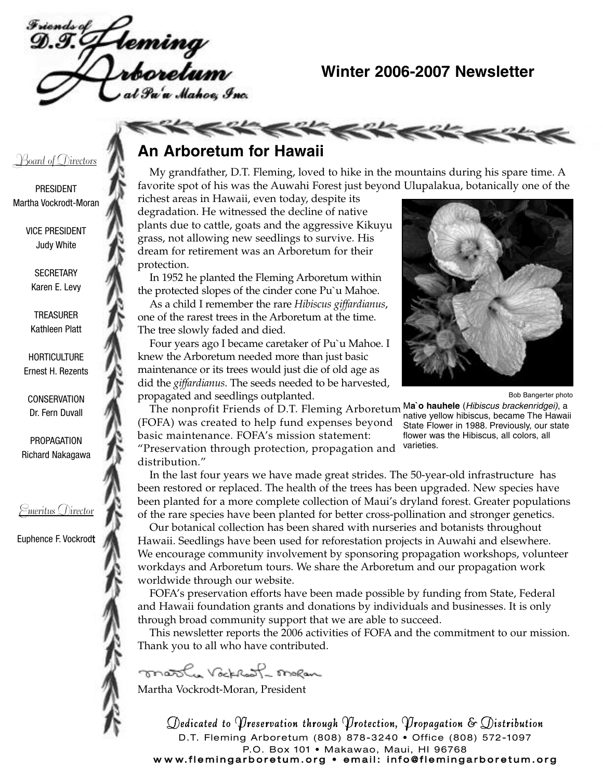Teming<br>rboretum u Mahoe Inc.

### **Winter 2006-2007 Newsletter**

### <u> Board of Directors</u>

PRESIDENT Martha Vockrodt-Moran

> VICE PRESIDENT Judy White

> > **SECRETARY** Karen E. Levy

TREASURER Kathleen Platt

**HORTICULTURE** Ernest H. Rezents

**CONSERVATION** Dr. Fern Duvall

PROPAGATION Richard Nakagawa

### Emeritus Director

Euphence F. Vockrodt

## **An Arboretum for Hawaii**

My grandfather, D.T. Fleming, loved to hike in the mountains during his spare time. A favorite spot of his was the Auwahi Forest just beyond Ulupalakua, botanically one of the

richest areas in Hawaii, even today, despite its degradation. He witnessed the decline of native plants due to cattle, goats and the aggressive Kikuyu grass, not allowing new seedlings to survive. His dream for retirement was an Arboretum for their protection.

**KKKKKRK** 

In 1952 he planted the Fleming Arboretum within the protected slopes of the cinder cone Pu`u Mahoe.

As a child I remember the rare *Hibiscus giffardianus*, one of the rarest trees in the Arboretum at the time. The tree slowly faded and died.

Four years ago I became caretaker of Pu`u Mahoe. I knew the Arboretum needed more than just basic maintenance or its trees would just die of old age as did the *giffardianus*. The seeds needed to be harvested, propagated and seedlings outplanted.



M**a`o hauhele** (Hibiscus brackenridgei), a native yellow hibiscus, became The Hawaii State Flower in 1988. Previously, our state flower was the Hibiscus, all colors, all

varieties.

Bob Bangerter photo

The nonprofit Friends of D.T. Fleming Arboretum (FOFA) was created to help fund expenses beyond basic maintenance. FOFA's mission statement: "Preservation through protection, propagation and distribution."

In the last four years we have made great strides. The 50-year-old infrastructure has been restored or replaced. The health of the trees has been upgraded. New species have been planted for a more complete collection of Maui's dryland forest. Greater populations of the rare species have been planted for better cross-pollination and stronger genetics.

Our botanical collection has been shared with nurseries and botanists throughout Hawaii. Seedlings have been used for reforestation projects in Auwahi and elsewhere. We encourage community involvement by sponsoring propagation workshops, volunteer workdays and Arboretum tours. We share the Arboretum and our propagation work worldwide through our website.

FOFA's preservation efforts have been made possible by funding from State, Federal and Hawaii foundation grants and donations by individuals and businesses. It is only through broad community support that we are able to succeed.

This newsletter reports the 2006 activities of FOFA and the commitment to our mission. Thank you to all who have contributed.

mosl. Vocklast meen Martha Vockrodt-Moran, President

Dedicated to Preservation through Protection, Propagation & Distribution D.T. Fleming Arboretum (808) 878-3240 • Office (808) 572-1097 P.O. Box 101 • Makawao, Maui, HI 96768 w w w. flemingarboretum.org • email: info@flemingarboretum.org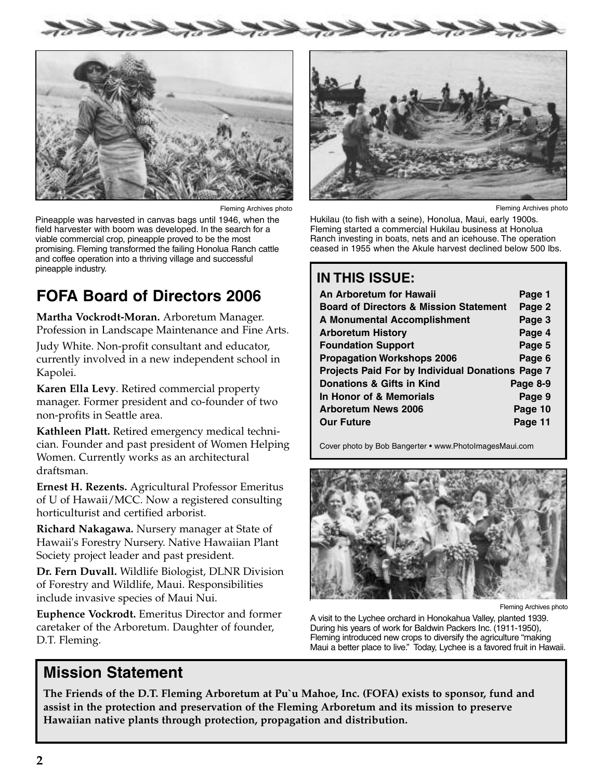

Fleming Archives photo

Pineapple was harvested in canvas bags until 1946, when the field harvester with boom was developed. In the search for a viable commercial crop, pineapple proved to be the most promising. Fleming transformed the failing Honolua Ranch cattle and coffee operation into a thriving village and successful pineapple industry.

## **FOFA Board of Directors 2006**

**Martha Vockrodt-Moran.** Arboretum Manager. Profession in Landscape Maintenance and Fine Arts.

Judy White. Non-profit consultant and educator, currently involved in a new independent school in Kapolei.

**Karen Ella Levy**. Retired commercial property manager. Former president and co-founder of two non-profits in Seattle area.

**Kathleen Platt.** Retired emergency medical technician. Founder and past president of Women Helping Women. Currently works as an architectural draftsman.

**Ernest H. Rezents.** Agricultural Professor Emeritus of U of Hawaii/MCC. Now a registered consulting horticulturist and certified arborist.

**Richard Nakagawa.** Nursery manager at State of Hawaii's Forestry Nursery. Native Hawaiian Plant Society project leader and past president.

**Dr. Fern Duvall.** Wildlife Biologist, DLNR Division of Forestry and Wildlife, Maui. Responsibilities include invasive species of Maui Nui.

**Euphence Vockrodt.** Emeritus Director and former caretaker of the Arboretum. Daughter of founder, D.T. Fleming.



Fleming Archives photo

Hukilau (to fish with a seine), Honolua, Maui, early 1900s. Fleming started a commercial Hukilau business at Honolua Ranch investing in boats, nets and an icehouse. The operation ceased in 1955 when the Akule harvest declined below 500 lbs.

## **IN THIS ISSUE:**

| An Arboretum for Hawaii                           | Page 1   |  |  |  |  |
|---------------------------------------------------|----------|--|--|--|--|
| <b>Board of Directors &amp; Mission Statement</b> | Page 2   |  |  |  |  |
| <b>A Monumental Accomplishment</b>                | Page 3   |  |  |  |  |
| <b>Arboretum History</b>                          | Page 4   |  |  |  |  |
| <b>Foundation Support</b>                         | Page 5   |  |  |  |  |
| <b>Propagation Workshops 2006</b>                 | Page 6   |  |  |  |  |
| Projects Paid For by Individual Donations Page 7  |          |  |  |  |  |
| Donations & Gifts in Kind                         | Page 8-9 |  |  |  |  |
| In Honor of & Memorials                           | Page 9   |  |  |  |  |
| <b>Arboretum News 2006</b>                        | Page 10  |  |  |  |  |
| <b>Our Future</b>                                 | Page 11  |  |  |  |  |

Cover photo by Bob Bangerter • www.PhotoImagesMaui.com



Fleming Archives photo

A visit to the Lychee orchard in Honokahua Valley, planted 1939. During his years of work for Baldwin Packers Inc. (1911-1950), Fleming introduced new crops to diversify the agriculture "making Maui a better place to live." Today, Lychee is a favored fruit in Hawaii.

## **Mission Statement**

**The Friends of the D.T. Fleming Arboretum at Pu`u Mahoe, Inc. (FOFA) exists to sponsor, fund and assist in the protection and preservation of the Fleming Arboretum and its mission to preserve Hawaiian native plants through protection, propagation and distribution.**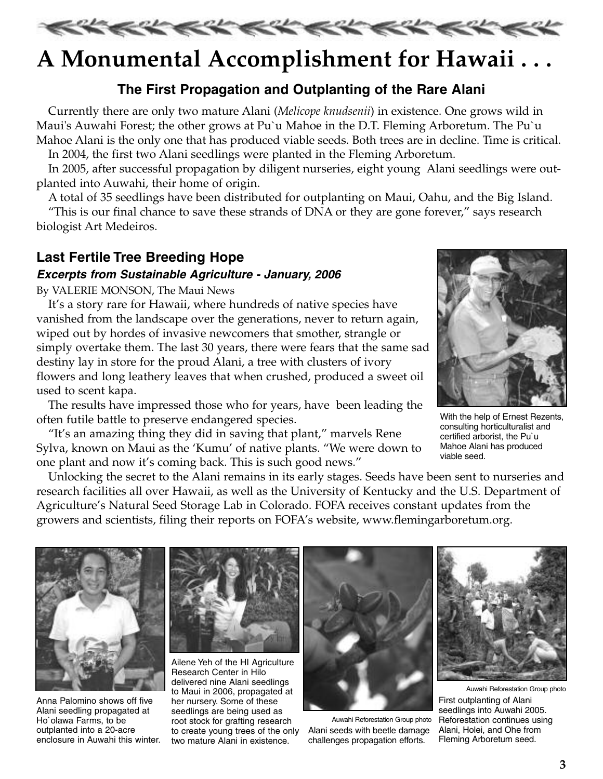

## **A Monumental Accomplishment for Hawaii . . .**

### **The First Propagation and Outplanting of the Rare Alani**

Currently there are only two mature Alani (*Melicope knudsenii*) in existence. One grows wild in Maui's Auwahi Forest; the other grows at Pu`u Mahoe in the D.T. Fleming Arboretum. The Pu`u Mahoe Alani is the only one that has produced viable seeds. Both trees are in decline. Time is critical.

In 2004, the first two Alani seedlings were planted in the Fleming Arboretum.

In 2005, after successful propagation by diligent nurseries, eight young Alani seedlings were outplanted into Auwahi, their home of origin.

A total of 35 seedlings have been distributed for outplanting on Maui, Oahu, and the Big Island.

"This is our final chance to save these strands of DNA or they are gone forever," says research biologist Art Medeiros.

### **Last Fertile Tree Breeding Hope**

### **Excerpts from Sustainable Agriculture - January, 2006**

By VALERIE MONSON, The Maui News

It's a story rare for Hawaii, where hundreds of native species have vanished from the landscape over the generations, never to return again, wiped out by hordes of invasive newcomers that smother, strangle or simply overtake them. The last 30 years, there were fears that the same sad destiny lay in store for the proud Alani, a tree with clusters of ivory flowers and long leathery leaves that when crushed, produced a sweet oil used to scent kapa.

The results have impressed those who for years, have been leading the often futile battle to preserve endangered species.

"It's an amazing thing they did in saving that plant," marvels Rene Sylva, known on Maui as the 'Kumu' of native plants. "We were down to one plant and now it's coming back. This is such good news."



With the help of Ernest Rezents, consulting horticulturalist and certified arborist, the Pu`u Mahoe Alani has produced viable seed.

Unlocking the secret to the Alani remains in its early stages. Seeds have been sent to nurseries and research facilities all over Hawaii, as well as the University of Kentucky and the U.S. Department of Agriculture's Natural Seed Storage Lab in Colorado. FOFA receives constant updates from the growers and scientists, filing their reports on FOFA's website, www.flemingarboretum.org.



Anna Palomino shows off five Alani seedling propagated at Ho`olawa Farms, to be outplanted into a 20-acre enclosure in Auwahi this winter. two mature Alani in existence.



Ailene Yeh of the HI Agriculture Research Center in Hilo delivered nine Alani seedlings to Maui in 2006, propagated at her nursery. Some of these seedlings are being used as root stock for grafting research to create young trees of the only



Auwahi Reforestation Group photo Alani seeds with beetle damage challenges propagation efforts.



Auwahi Reforestation Group photo First outplanting of Alani seedlings into Auwahi 2005. Reforestation continues using Alani, Holei, and Ohe from Fleming Arboretum seed.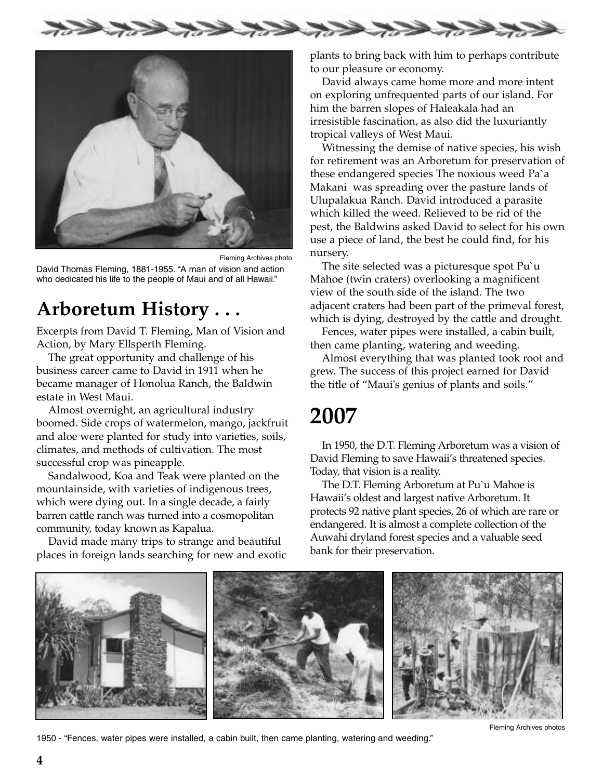



Fleming Archives photo David Thomas Fleming, 1881-1955. "A man of vision and action who dedicated his life to the people of Maui and of all Hawaii."

## **Arboretum History . . .**

Excerpts from David T. Fleming, Man of Vision and Action, by Mary Ellsperth Fleming.

The great opportunity and challenge of his business career came to David in 1911 when he became manager of Honolua Ranch, the Baldwin estate in West Maui.

Almost overnight, an agricultural industry boomed. Side crops of watermelon, mango, jackfruit and aloe were planted for study into varieties, soils, climates, and methods of cultivation. The most successful crop was pineapple.

Sandalwood, Koa and Teak were planted on the mountainside, with varieties of indigenous trees, which were dying out. In a single decade, a fairly barren cattle ranch was turned into a cosmopolitan community, today known as Kapalua.

David made many trips to strange and beautiful places in foreign lands searching for new and exotic plants to bring back with him to perhaps contribute to our pleasure or economy.

David always came home more and more intent on exploring unfrequented parts of our island. For him the barren slopes of Haleakala had an irresistible fascination, as also did the luxuriantly tropical valleys of West Maui.

Witnessing the demise of native species, his wish for retirement was an Arboretum for preservation of these endangered species The noxious weed Pa`a Makani was spreading over the pasture lands of Ulupalakua Ranch. David introduced a parasite which killed the weed. Relieved to be rid of the pest, the Baldwins asked David to select for his own use a piece of land, the best he could find, for his nursery.

The site selected was a picturesque spot Pu`u Mahoe (twin craters) overlooking a magnificent view of the south side of the island. The two adjacent craters had been part of the primeval forest, which is dying, destroyed by the cattle and drought.

Fences, water pipes were installed, a cabin built, then came planting, watering and weeding.

Almost everything that was planted took root and grew. The success of this project earned for David the title of "Maui's genius of plants and soils."

## **2007**

In 1950, the D.T. Fleming Arboretum was a vision of David Fleming to save Hawaii's threatened species. Today, that vision is a reality.

The D.T. Fleming Arboretum at Pu`u Mahoe is Hawaii's oldest and largest native Arboretum. It protects 92 native plant species, 26 of which are rare or endangered. It is almost a complete collection of the Auwahi dryland forest species and a valuable seed bank for their preservation.



1950 - "Fences, water pipes were installed, a cabin built, then came planting, watering and weeding."

Fleming Archives photos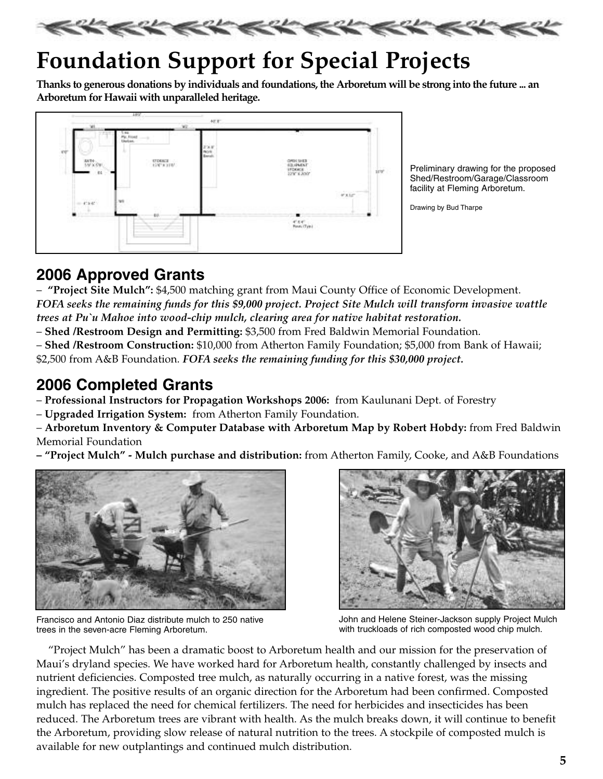

# **Foundation Support for Special Projects**

**Thanks to generous donations by individuals and foundations, the Arboretum will be strong into the future ... an Arboretum for Hawaii with unparalleled heritage.**



Preliminary drawing for the proposed Shed/Restroom/Garage/Classroom facility at Fleming Arboretum.

Drawing by Bud Tharpe

## **2006 Approved Grants**

– **"Project Site Mulch":** \$4,500 matching grant from Maui County Office of Economic Development. *FOFA seeks the remaining funds for this \$9,000 project. Project Site Mulch will transform invasive wattle trees at Pu`u Mahoe into wood-chip mulch, clearing area for native habitat restoration.*

– **Shed /Restroom Design and Permitting:** \$3,500 from Fred Baldwin Memorial Foundation.

– **Shed /Restroom Construction:** \$10,000 from Atherton Family Foundation; \$5,000 from Bank of Hawaii; \$2,500 from A&B Foundation. *FOFA seeks the remaining funding for this \$30,000 project.*

## **2006 Completed Grants**

– **Professional Instructors for Propagation Workshops 2006:** from Kaulunani Dept. of Forestry

– **Upgraded Irrigation System:** from Atherton Family Foundation.

– **Arboretum Inventory & Computer Database with Arboretum Map by Robert Hobdy:** from Fred Baldwin Memorial Foundation

**– "Project Mulch" - Mulch purchase and distribution:** from Atherton Family, Cooke, and A&B Foundations



Francisco and Antonio Diaz distribute mulch to 250 native trees in the seven-acre Fleming Arboretum.



John and Helene Steiner-Jackson supply Project Mulch with truckloads of rich composted wood chip mulch.

"Project Mulch" has been a dramatic boost to Arboretum health and our mission for the preservation of Maui's dryland species. We have worked hard for Arboretum health, constantly challenged by insects and nutrient deficiencies. Composted tree mulch, as naturally occurring in a native forest, was the missing ingredient. The positive results of an organic direction for the Arboretum had been confirmed. Composted mulch has replaced the need for chemical fertilizers. The need for herbicides and insecticides has been reduced. The Arboretum trees are vibrant with health. As the mulch breaks down, it will continue to benefit the Arboretum, providing slow release of natural nutrition to the trees. A stockpile of composted mulch is available for new outplantings and continued mulch distribution.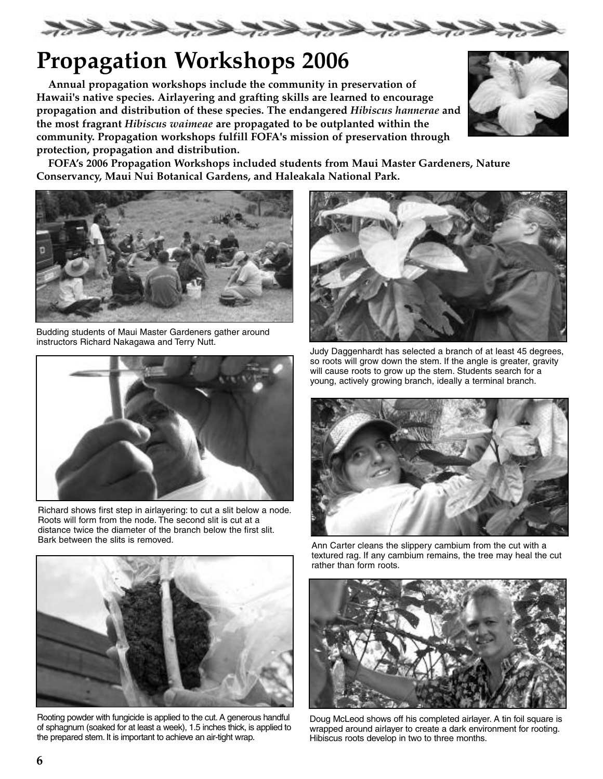

# **Propagation Workshops 2006**

**Annual propagation workshops include the community in preservation of Hawaii's native species. Airlayering and grafting skills are learned to encourage propagation and distribution of these species. The endangered** *Hibiscus hannerae* **and the most fragrant** *Hibiscus waimeae* **are propagated to be outplanted within the community. Propagation workshops fulfill FOFA's mission of preservation through protection, propagation and distribution.** 



**FOFA's 2006 Propagation Workshops included students from Maui Master Gardeners, Nature Conservancy, Maui Nui Botanical Gardens, and Haleakala National Park.**



Budding students of Maui Master Gardeners gather around instructors Richard Nakagawa and Terry Nutt.



Richard shows first step in airlayering: to cut a slit below a node. Roots will form from the node. The second slit is cut at a distance twice the diameter of the branch below the first slit.<br>Bark between the slits is removed.



Judy Daggenhardt has selected a branch of at least 45 degrees, so roots will grow down the stem. If the angle is greater, gravity will cause roots to grow up the stem. Students search for a young, actively growing branch, ideally a terminal branch.



Ann Carter cleans the slippery cambium from the cut with a textured rag. If any cambium remains, the tree may heal the cut rather than form roots.



Rooting powder with fungicide is applied to the cut. A generous handful of sphagnum (soaked for at least a week), 1.5 inches thick, is applied to the prepared stem. It is important to achieve an air-tight wrap.



Doug McLeod shows off his completed airlayer. A tin foil square is wrapped around airlayer to create a dark environment for rooting. Hibiscus roots develop in two to three months.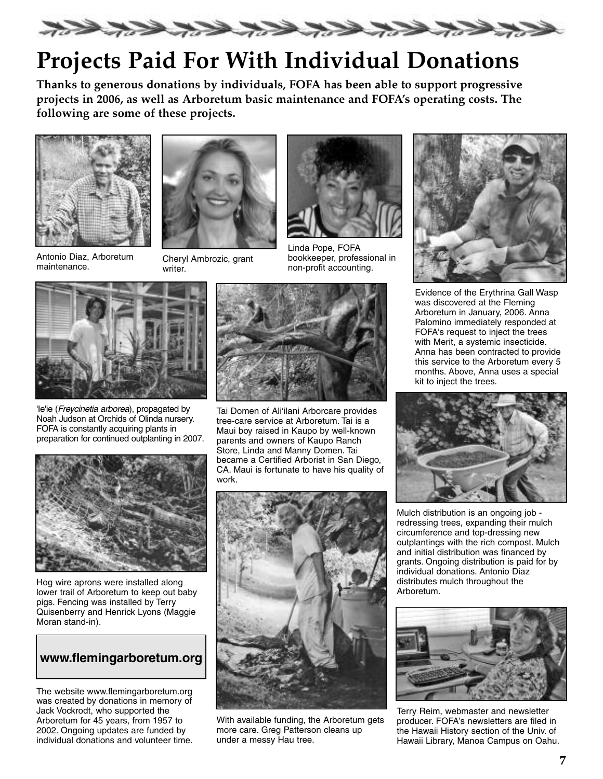

# **Projects Paid For With Individual Donations**

**Thanks to generous donations by individuals, FOFA has been able to support progressive projects in 2006, as well as Arboretum basic maintenance and FOFA's operating costs. The following are some of these projects.**



Antonio Diaz, Arboretum Antonio Diaz, Arboretum Cheryl Ambrozic, grant<br>maintenance. writer



writer.



Linda Pope, FOFA bookkeeper, professional in non-profit accounting.



'Ie'ie (Freycinetia arborea), propagated by Noah Judson at Orchids of Olinda nursery. FOFA is constantly acquiring plants in preparation for continued outplanting in 2007.



Hog wire aprons were installed along lower trail of Arboretum to keep out baby pigs. Fencing was installed by Terry Quisenberry and Henrick Lyons (Maggie Moran stand-in).

### **www.flemingarboretum.org**

The website www.flemingarboretum.org was created by donations in memory of Jack Vockrodt, who supported the Arboretum for 45 years, from 1957 to 2002. Ongoing updates are funded by individual donations and volunteer time.



Tai Domen of Ali'ilani Arborcare provides tree-care service at Arboretum. Tai is a Maui boy raised in Kaupo by well-known parents and owners of Kaupo Ranch Store, Linda and Manny Domen. Tai became a Certified Arborist in San Diego, CA. Maui is fortunate to have his quality of work.



With available funding, the Arboretum gets more care. Greg Patterson cleans up under a messy Hau tree.



Evidence of the Erythrina Gall Wasp was discovered at the Fleming Arboretum in January, 2006. Anna Palomino immediately responded at FOFA's request to inject the trees with Merit, a systemic insecticide. Anna has been contracted to provide this service to the Arboretum every 5 months. Above, Anna uses a special kit to inject the trees.



Mulch distribution is an ongoing job redressing trees, expanding their mulch circumference and top-dressing new outplantings with the rich compost. Mulch and initial distribution was financed by grants. Ongoing distribution is paid for by individual donations. Antonio Diaz distributes mulch throughout the Arboretum.



Terry Reim, webmaster and newsletter producer. FOFA's newsletters are filed in the Hawaii History section of the Univ. of Hawaii Library, Manoa Campus on Oahu.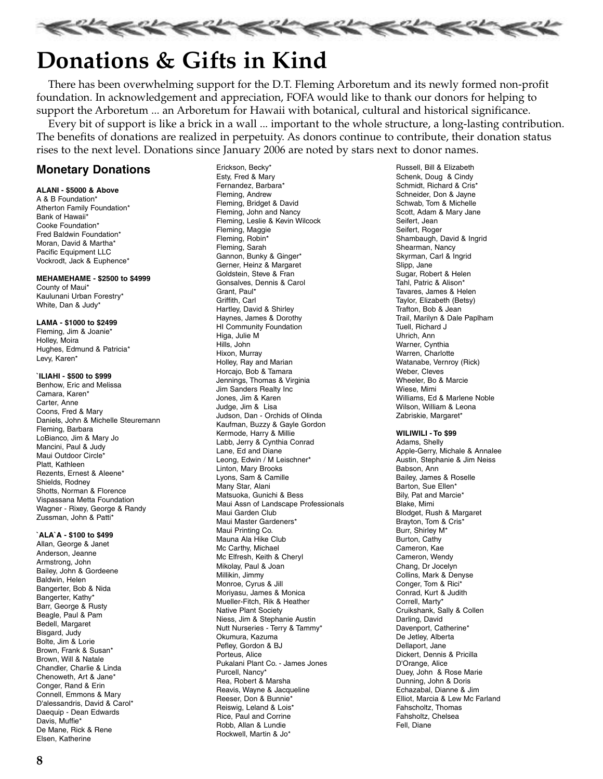

# **Donations & Gifts in Kind**

There has been overwhelming support for the D.T. Fleming Arboretum and its newly formed non-profit foundation. In acknowledgement and appreciation, FOFA would like to thank our donors for helping to support the Arboretum ... an Arboretum for Hawaii with botanical, cultural and historical significance.

Every bit of support is like a brick in a wall ... important to the whole structure, a long-lasting contribution. The benefits of donations are realized in perpetuity. As donors continue to contribute, their donation status rises to the next level. Donations since January 2006 are noted by stars next to donor names.

### **Monetary Donations**

#### **ALANI - \$5000 & Above**

A & B Foundation\* Atherton Family Foundation\* Bank of Hawaii\* Cooke Foundation\* Fred Baldwin Foundation\* Moran, David & Martha\* Pacific Equipment LLC Vockrodt, Jack & Euphence\*

#### **MEHAMEHAME - \$2500 to \$4999**

County of Maui\* Kaulunani Urban Forestry\* White, Dan & Judy\*

#### **LAMA - \$1000 to \$2499**

Fleming, Jim & Joanie\* Holley, Moira Hughes, Edmund & Patricia\* Levy, Karen\*

#### **`ILIAHI - \$500 to \$999**

Benhow, Eric and Melissa Camara, Karen\* Carter, Anne Coons, Fred & Mary Daniels, John & Michelle Steuremann Fleming, Barbara LoBianco, Jim & Mary Jo Mancini, Paul & Judy Maui Outdoor Circle\* Platt, Kathleen Rezents, Ernest & Aleene\* Shields, Rodney Shotts, Norman & Florence Vispassana Metta Foundation Wagner - Rixey, George & Randy Zussman, John & Patti\*

#### **`ALA`A - \$100 to \$499**

Allan, George & Janet Anderson, Jeanne Armstrong, John Bailey, John & Gordeene Baldwin, Helen Bangerter, Bob & Nida Bangerter, Kathy\* Barr, George & Rusty Beagle, Paul & Pam Bedell, Margaret Bisgard, Judy Bolte, Jim & Lorie Brown, Frank & Susan\* Brown, Will & Natale Chandler, Charlie & Linda Chenoweth, Art & Jane\* Conger, Rand & Erin Connell, Emmons & Mary D'alessandris, David & Carol\* Daequip - Dean Edwards Davis, Muffie\* De Mane, Rick & Rene Elsen, Katherine

Erickson, Becky\* Esty, Fred & Mary Fernandez, Barbara\* Fleming, Andrew Fleming, Bridget & David Fleming, John and Nancy Fleming, Leslie & Kevin Wilcock Fleming, Maggie Fleming, Robin\* Fleming, Sarah Gannon, Bunky & Ginger\* Gerner, Heinz & Margaret Goldstein, Steve & Fran Gonsalves, Dennis & Carol Grant, Paul\* Griffith, Carl Hartley, David & Shirley Haynes, James & Dorothy HI Community Foundation Higa, Julie M Hills, John Hixon, Murray Holley, Ray and Marian Horcajo, Bob & Tamara Jennings, Thomas & Virginia Jim Sanders Realty Inc Jones, Jim & Karen Judge, Jim & Lisa Judson, Dan - Orchids of Olinda Kaufman, Buzzy & Gayle Gordon Kermode, Harry & Millie Labb, Jerry & Cynthia Conrad Lane, Ed and Diane Leong, Edwin / M Leischner\* Linton, Mary Brooks Lyons, Sam & Camille Many Star, Alani Matsuoka, Gunichi & Bess Maui Assn of Landscape Professionals Maui Garden Club Maui Master Gardeners\* Maui Printing Co. Mauna Ala Hike Club Mc Carthy, Michael Mc Elfresh, Keith & Cheryl Mikolay, Paul & Joan Millikin, Jimmy Monroe, Cyrus & Jill Moriyasu, James & Monica Mueller-Fitch, Rik & Heather Native Plant Society Niess, Jim & Stephanie Austin Nutt Nurseries - Terry & Tammy\* Okumura, Kazuma Pefley, Gordon & BJ Porteus, Alice Pukalani Plant Co. - James Jones Purcell, Nancy\* Rea, Robert & Marsha Reavis, Wayne & Jacqueline Reeser, Don & Bunnie\* Reiswig, Leland & Lois\* Rice, Paul and Corrine Robb, Allan & Lundie Rockwell, Martin & Jo\*

Russell, Bill & Elizabeth Schenk, Doug & Cindy Schmidt, Richard & Cris\* Schneider, Don & Jayne Schwab, Tom & Michelle Scott, Adam & Mary Jane Seifert, Jean Seifert, Roger Shambaugh, David & Ingrid Shearman, Nancy Skyrman, Carl & Ingrid Slipp, Jane Sugar, Robert & Helen Tahl, Patric & Alison\* Tavares, James & Helen Taylor, Elizabeth (Betsy) Trafton, Bob & Jean Trail, Marilyn & Dale Paplham Tuell, Richard J Uhrich, Ann Warner, Cynthia Warren, Charlotte Watanabe, Vernroy (Rick) Weber, Cleves Wheeler, Bo & Marcie Wiese, Mimi Williams, Ed & Marlene Noble Wilson, William & Leona Zabriskie, Margaret\*

#### **WILIWILI - To \$99**

Adams, Shelly Apple-Gerry, Michale & Annalee Austin, Stephanie & Jim Neiss Babson, Ann Bailey, James & Roselle Barton, Sue Ellen\* Bily, Pat and Marcie\* Blake, Mimi Blodget, Rush & Margaret Brayton, Tom & Cris\* Burr, Shirley M\* Burton, Cathy Cameron, Kae Cameron, Wendy Chang, Dr Jocelyn Collins, Mark & Denyse Conger, Tom & Rici\* Conrad, Kurt & Judith Correll, Marty\* Cruikshank, Sally & Collen Darling, David Davenport, Catherine\* De Jetley, Alberta Dellaport, Jane Dickert, Dennis & Pricilla D'Orange, Alice Duey, John & Rose Marie Dunning, John & Doris Echazabal, Dianne & Jim Elliot, Marcia & Lew Mc Farland Fahscholtz, Thomas Fahsholtz, Chelsea Fell, Diane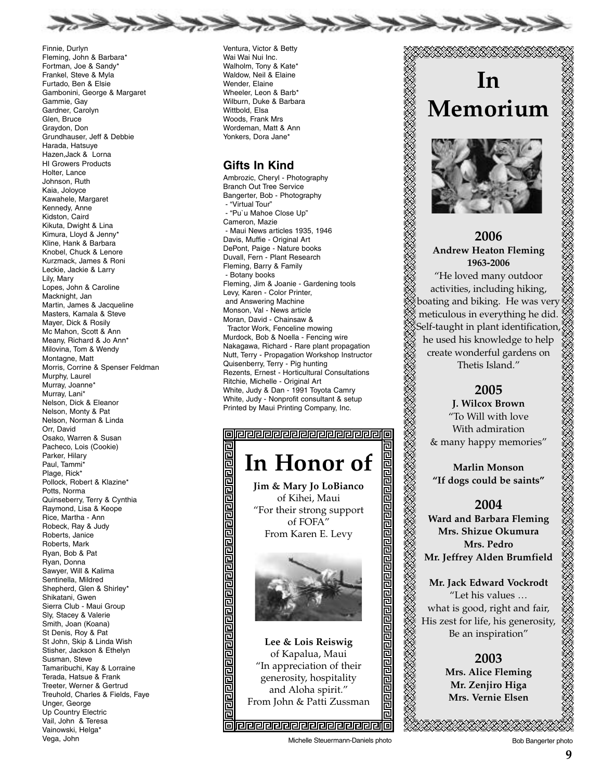

Finnie, Durlyn Fleming, John & Barbara\* Fortman, Joe & Sandy\* Frankel, Steve & Myla Furtado, Ben & Elsie Gambonini, George & Margaret Gammie, Gay Gardner, Carolyn Glen, Bruce Graydon, Don Grundhauser, Jeff & Debbie Harada, Hatsuye Hazen,Jack & Lorna HI Growers Products Holter, Lance Johnson, Ruth Kaia, Joloyce Kawahele, Margaret Kennedy, Anne Kidston, Caird Kikuta, Dwight & Lina Kimura, Lloyd & Jenny\* Kline, Hank & Barbara Knobel, Chuck & Lenore Kurzmack, James & Roni Leckie, Jackie & Larry Lily, Mary Lopes, John & Caroline Macknight, Jan Martin, James & Jacqueline Masters, Kamala & Steve Mayer, Dick & Rosily Mc Mahon, Scott & Ann Meany, Richard & Jo Ann\* Milovina, Tom & Wendy Montagne, Matt Morris, Corrine & Spenser Feldman Murphy, Laurel Murray, Joanne\* Murray, Lani\* Nelson, Dick & Eleanor Nelson, Monty & Pat Nelson, Norman & Linda Orr, David Osako, Warren & Susan Pacheco, Lois (Cookie) Parker, Hilary Paul, Tammi\* Plage, Rick\* Pollock, Robert & Klazine\* Potts, Norma Quinseberry, Terry & Cynthia Raymond, Lisa & Keope Rice, Martha - Ann Robeck, Ray & Judy Roberts, Janice Roberts, Mark Ryan, Bob & Pat Ryan, Donna Sawyer, Will & Kalima Sentinella, Mildred Shepherd, Glen & Shirley\* Shikatani, Gwen Sierra Club - Maui Group Sly, Stacey & Valerie Smith, Joan (Koana) St Denis, Roy & Pat St John, Skip & Linda Wish Stisher, Jackson & Ethelyn Susman, Steve Tamaribuchi, Kay & Lorraine Terada, Hatsue & Frank Treeter, Werner & Gertrud Treuhold, Charles & Fields, Faye Unger, George Up Country Electric Vail, John & Teresa Vainowski, Helga\* Vega, John

Ventura, Victor & Betty Wai Wai Nui Inc. Walholm, Tony & Kate\* Waldow, Neil & Elaine Wender, Elaine Wheeler, Leon & Barb\* Wilburn, Duke & Barbara Witthold, Flsa Woods, Frank Mrs Wordeman, Matt & Ann Yonkers, Dora Jane\*

#### **Gifts In Kind**

Ambrozic, Cheryl - Photography Branch Out Tree Service Bangerter, Bob - Photography - "Virtual Tour" - "Pu`u Mahoe Close Up" Cameron, Mazie - Maui News articles 1935, 1946 Davis, Muffie - Original Art DePont, Paige - Nature books Duvall, Fern - Plant Research Fleming, Barry & Family - Botany books Fleming, Jim & Joanie - Gardening tools Levy, Karen - Color Printer, and Answering Machine Monson, Val - News article Moran, David - Chainsaw & Tractor Work, Fenceline mowing Murdock, Bob & Noella - Fencing wire Nakagawa, Richard - Rare plant propagation Nutt, Terry - Propagation Workshop Instructor Quisenberry, Terry - Pig hunting Rezents, Ernest - Horticultural Consultations Ritchie, Michelle - Original Art White, Judy & Dan - 1991 Toyota Camry White, Judy - Nonprofit consultant & setup Printed by Maui Printing Company, Inc.

## 

# **In Honor of**

同

**Jim & Mary Jo LoBianco** of Kihei, Maui "For their strong support of FOFA" From Karen E. Levy



**Lee & Lois Reiswig**  of Kapalua, Maui "In appreciation of their generosity, hospitality and Aloha spirit." From John & Patti Zussman

20202020202020202020

# **In Memorium**



### **2006 Andrew Heaton Fleming 1963-2006**

"He loved many outdoor activities, including hiking, boating and biking. He was very meticulous in everything he did. Self-taught in plant identification, he used his knowledge to help create wonderful gardens on Thetis Island."

### **2005**

**J. Wilcox Brown**  "To Will with love With admiration & many happy memories"

**Marlin Monson "If dogs could be saints"**

### **2004**

**Ward and Barbara Fleming Mrs. Shizue Okumura Mrs. Pedro Mr. Jeffrey Alden Brumfield**

**Mr. Jack Edward Vockrodt** "Let his values … what is good, right and fair, His zest for life, his generosity, Be an inspiration"

### **2003 Mrs. Alice Fleming Mr. Zenjiro Higa Mrs. Vernie Elsen**

Michelle Steuermann-Daniels photo **Bob Bangerter photo** Bob Bangerter photo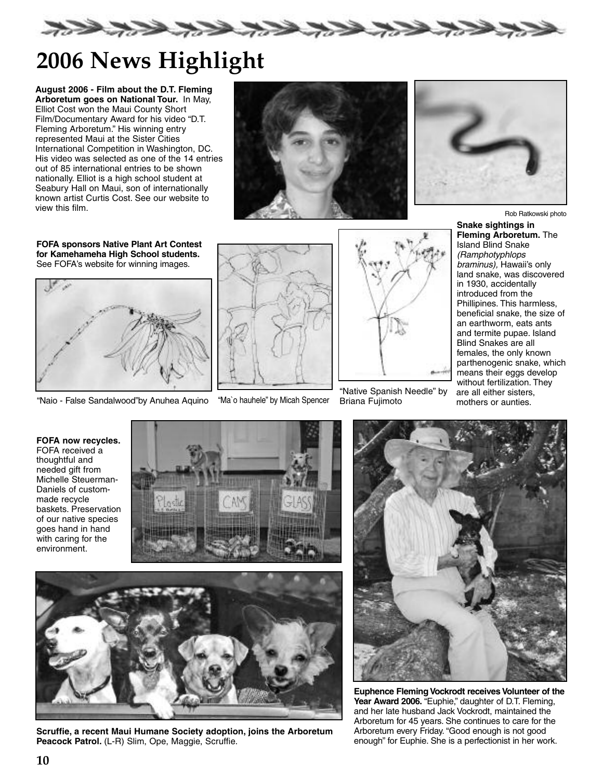

# **2006 News Highlight**

**August 2006 - Film about the D.T. Fleming Arboretum goes on National Tour.** In May, Elliot Cost won the Maui County Short Film/Documentary Award for his video "D.T. Fleming Arboretum." His winning entry represented Maui at the Sister Cities International Competition in Washington, DC. His video was selected as one of the 14 entries out of 85 international entries to be shown nationally. Elliot is a high school student at Seabury Hall on Maui, son of internationally known artist Curtis Cost. See our website to view this film.



**FOFA sponsors Native Plant Art Contest for Kamehameha High School students.** See FOFA's website for winning images.



"Naio - False Sandalwood"by Anuhea Aquino "Ma`o hauhele" by Micah Spencer





"Native Spanish Needle" by Briana Fujimoto



Rob Ratkowski photo

**Snake sightings in Fleming Arboretum.** The Island Blind Snake (Ramphotyphlops braminus), Hawaii's only land snake, was discovered in 1930, accidentally introduced from the Phillipines. This harmless, beneficial snake, the size of an earthworm, eats ants and termite pupae. Island Blind Snakes are all females, the only known parthenogenic snake, which means their eggs develop without fertilization. They are all either sisters, mothers or aunties.

**FOFA now recycles.** FOFA received a thoughtful and needed gift from Michelle Steuerman-Daniels of custommade recycle baskets. Preservation of our native species goes hand in hand with caring for the environment.





**Scruffie, a recent Maui Humane Society adoption, joins the Arboretum** Peacock Patrol. (L-R) Slim, Ope, Maggie, Scruffie.



**Euphence Fleming Vockrodt receives Volunteer of the** Year Award 2006. "Euphie," daughter of D.T. Fleming, and her late husband Jack Vockrodt, maintained the Arboretum for 45 years. She continues to care for the Arboretum every Friday. "Good enough is not good enough" for Euphie. She is a perfectionist in her work.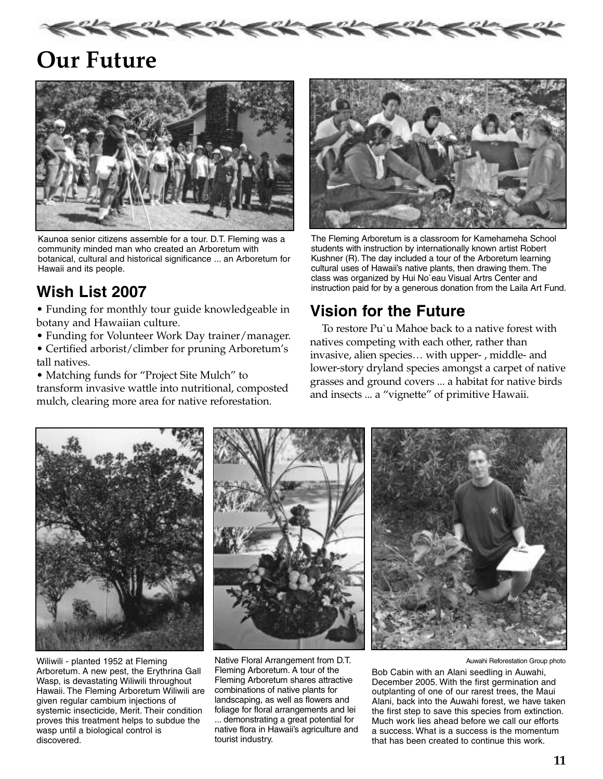

# **Our Future**



Kaunoa senior citizens assemble for a tour. D.T. Fleming was a community minded man who created an Arboretum with botanical, cultural and historical significance ... an Arboretum for Hawaii and its people.

## **Wish List 2007**

• Funding for monthly tour guide knowledgeable in botany and Hawaiian culture.

- Funding for Volunteer Work Day trainer/manager.
- Certified arborist/climber for pruning Arboretum's tall natives.

• Matching funds for "Project Site Mulch" to transform invasive wattle into nutritional, composted mulch, clearing more area for native reforestation.



The Fleming Arboretum is a classroom for Kamehameha School students with instruction by internationally known artist Robert Kushner (R). The day included a tour of the Arboretum learning cultural uses of Hawaii's native plants, then drawing them. The class was organized by Hui No`eau Visual Artrs Center and instruction paid for by a generous donation from the Laila Art Fund.

## **Vision for the Future**

To restore Pu`u Mahoe back to a native forest with natives competing with each other, rather than invasive, alien species… with upper- , middle- and lower-story dryland species amongst a carpet of native grasses and ground covers ... a habitat for native birds and insects ... a "vignette" of primitive Hawaii.



Wiliwili - planted 1952 at Fleming Arboretum. A new pest, the Erythrina Gall Wasp, is devastating Wiliwili throughout Hawaii. The Fleming Arboretum Wiliwili are given regular cambium injections of systemic insecticide, Merit. Their condition proves this treatment helps to subdue the wasp until a biological control is discovered.



Native Floral Arrangement from D.T. Fleming Arboretum. A tour of the Fleming Arboretum shares attractive combinations of native plants for landscaping, as well as flowers and foliage for floral arrangements and lei ... demonstrating a great potential for native flora in Hawaii's agriculture and tourist industry.



Auwahi Reforestation Group photo

Bob Cabin with an Alani seedling in Auwahi, December 2005. With the first germination and outplanting of one of our rarest trees, the Maui Alani, back into the Auwahi forest, we have taken the first step to save this species from extinction. Much work lies ahead before we call our efforts a success. What is a success is the momentum that has been created to continue this work.